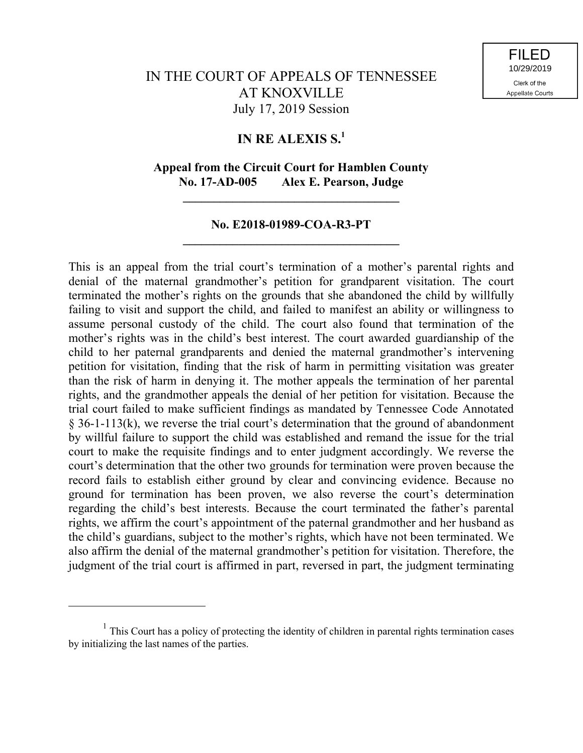# IN THE COURT OF APPEALS OF TENNESSEE AT KNOXVILLE July 17, 2019 Session

### **IN RE ALEXIS S.<sup>1</sup>**

### **Appeal from the Circuit Court for Hamblen County No. 17-AD-005 Alex E. Pearson, Judge**

**\_\_\_\_\_\_\_\_\_\_\_\_\_\_\_\_\_\_\_\_\_\_\_\_\_\_\_\_\_\_\_\_\_\_\_**

### **No. E2018-01989-COA-R3-PT \_\_\_\_\_\_\_\_\_\_\_\_\_\_\_\_\_\_\_\_\_\_\_\_\_\_\_\_\_\_\_\_\_\_\_**

This is an appeal from the trial court's termination of a mother's parental rights and denial of the maternal grandmother's petition for grandparent visitation. The court terminated the mother's rights on the grounds that she abandoned the child by willfully failing to visit and support the child, and failed to manifest an ability or willingness to assume personal custody of the child. The court also found that termination of the mother's rights was in the child's best interest. The court awarded guardianship of the child to her paternal grandparents and denied the maternal grandmother's intervening petition for visitation, finding that the risk of harm in permitting visitation was greater than the risk of harm in denying it. The mother appeals the termination of her parental rights, and the grandmother appeals the denial of her petition for visitation. Because the trial court failed to make sufficient findings as mandated by Tennessee Code Annotated § 36-1-113(k), we reverse the trial court's determination that the ground of abandonment by willful failure to support the child was established and remand the issue for the trial court to make the requisite findings and to enter judgment accordingly. We reverse the court's determination that the other two grounds for termination were proven because the record fails to establish either ground by clear and convincing evidence. Because no ground for termination has been proven, we also reverse the court's determination regarding the child's best interests. Because the court terminated the father's parental rights, we affirm the court's appointment of the paternal grandmother and her husband as the child's guardians, subject to the mother's rights, which have not been terminated. We also affirm the denial of the maternal grandmother's petition for visitation. Therefore, the judgment of the trial court is affirmed in part, reversed in part, the judgment terminating

 $<sup>1</sup>$  This Court has a policy of protecting the identity of children in parental rights termination cases</sup> by initializing the last names of the parties.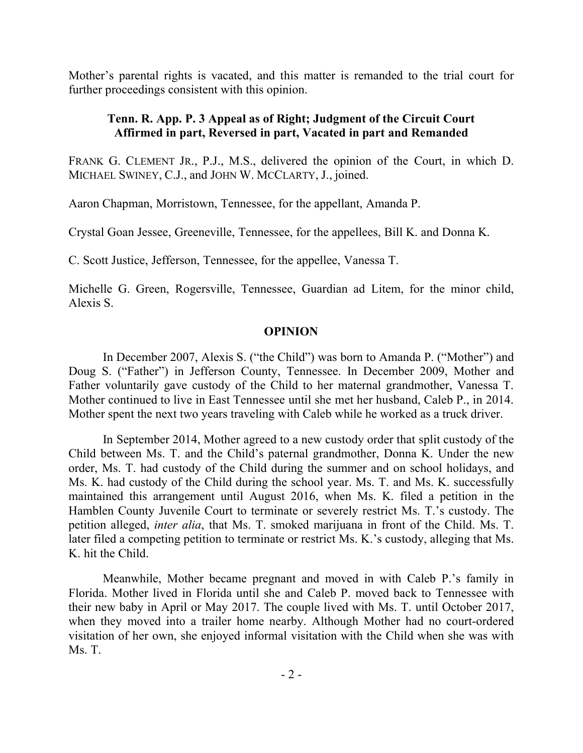Mother's parental rights is vacated, and this matter is remanded to the trial court for further proceedings consistent with this opinion.

## **Tenn. R. App. P. 3 Appeal as of Right; Judgment of the Circuit Court Affirmed in part, Reversed in part, Vacated in part and Remanded**

FRANK G. CLEMENT JR., P.J., M.S., delivered the opinion of the Court, in which D. MICHAEL SWINEY, C.J., and JOHN W. MCCLARTY, J., joined.

Aaron Chapman, Morristown, Tennessee, for the appellant, Amanda P.

Crystal Goan Jessee, Greeneville, Tennessee, for the appellees, Bill K. and Donna K.

C. Scott Justice, Jefferson, Tennessee, for the appellee, Vanessa T.

Michelle G. Green, Rogersville, Tennessee, Guardian ad Litem, for the minor child, Alexis S.

## **OPINION**

In December 2007, Alexis S. ("the Child") was born to Amanda P. ("Mother") and Doug S. ("Father") in Jefferson County, Tennessee. In December 2009, Mother and Father voluntarily gave custody of the Child to her maternal grandmother, Vanessa T. Mother continued to live in East Tennessee until she met her husband, Caleb P., in 2014. Mother spent the next two years traveling with Caleb while he worked as a truck driver.

In September 2014, Mother agreed to a new custody order that split custody of the Child between Ms. T. and the Child's paternal grandmother, Donna K. Under the new order, Ms. T. had custody of the Child during the summer and on school holidays, and Ms. K. had custody of the Child during the school year. Ms. T. and Ms. K. successfully maintained this arrangement until August 2016, when Ms. K. filed a petition in the Hamblen County Juvenile Court to terminate or severely restrict Ms. T.'s custody. The petition alleged, *inter alia*, that Ms. T. smoked marijuana in front of the Child. Ms. T. later filed a competing petition to terminate or restrict Ms. K.'s custody, alleging that Ms. K. hit the Child.

Meanwhile, Mother became pregnant and moved in with Caleb P.'s family in Florida. Mother lived in Florida until she and Caleb P. moved back to Tennessee with their new baby in April or May 2017. The couple lived with Ms. T. until October 2017, when they moved into a trailer home nearby. Although Mother had no court-ordered visitation of her own, she enjoyed informal visitation with the Child when she was with Ms. T.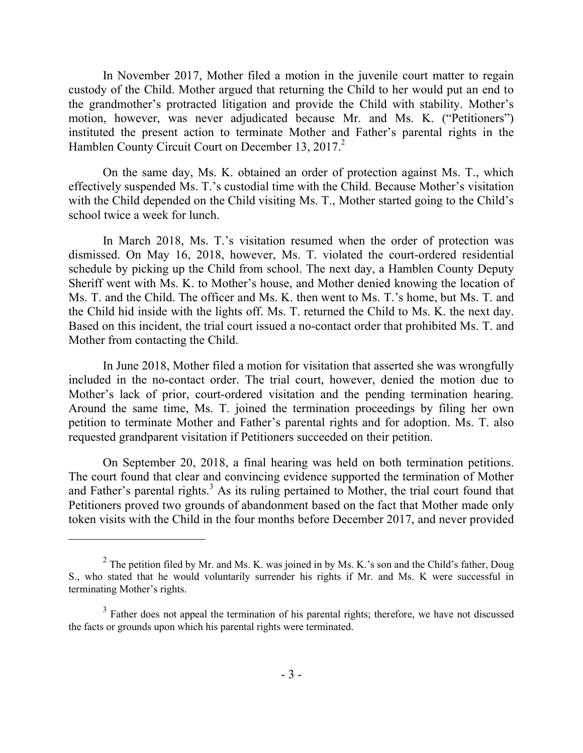In November 2017, Mother filed a motion in the juvenile court matter to regain custody of the Child. Mother argued that returning the Child to her would put an end to the grandmother's protracted litigation and provide the Child with stability. Mother's motion, however, was never adjudicated because Mr. and Ms. K. ("Petitioners") instituted the present action to terminate Mother and Father's parental rights in the Hamblen County Circuit Court on December 13, 2017.<sup>2</sup>

On the same day, Ms. K. obtained an order of protection against Ms. T., which effectively suspended Ms. T.'s custodial time with the Child. Because Mother's visitation with the Child depended on the Child visiting Ms. T., Mother started going to the Child's school twice a week for lunch.

In March 2018, Ms. T.'s visitation resumed when the order of protection was dismissed. On May 16, 2018, however, Ms. T. violated the court-ordered residential schedule by picking up the Child from school. The next day, a Hamblen County Deputy Sheriff went with Ms. K. to Mother's house, and Mother denied knowing the location of Ms. T. and the Child. The officer and Ms. K. then went to Ms. T.'s home, but Ms. T. and the Child hid inside with the lights off. Ms. T. returned the Child to Ms. K. the next day. Based on this incident, the trial court issued a no-contact order that prohibited Ms. T. and Mother from contacting the Child.

In June 2018, Mother filed a motion for visitation that asserted she was wrongfully included in the no-contact order. The trial court, however, denied the motion due to Mother's lack of prior, court-ordered visitation and the pending termination hearing. Around the same time, Ms. T. joined the termination proceedings by filing her own petition to terminate Mother and Father's parental rights and for adoption. Ms. T. also requested grandparent visitation if Petitioners succeeded on their petition.

On September 20, 2018, a final hearing was held on both termination petitions. The court found that clear and convincing evidence supported the termination of Mother and Father's parental rights.<sup>3</sup> As its ruling pertained to Mother, the trial court found that Petitioners proved two grounds of abandonment based on the fact that Mother made only token visits with the Child in the four months before December 2017, and never provided

<sup>&</sup>lt;sup>2</sup> The petition filed by Mr. and Ms. K. was joined in by Ms. K.'s son and the Child's father, Doug S., who stated that he would voluntarily surrender his rights if Mr. and Ms. K were successful in terminating Mother's rights.

 $3$  Father does not appeal the termination of his parental rights; therefore, we have not discussed the facts or grounds upon which his parental rights were terminated.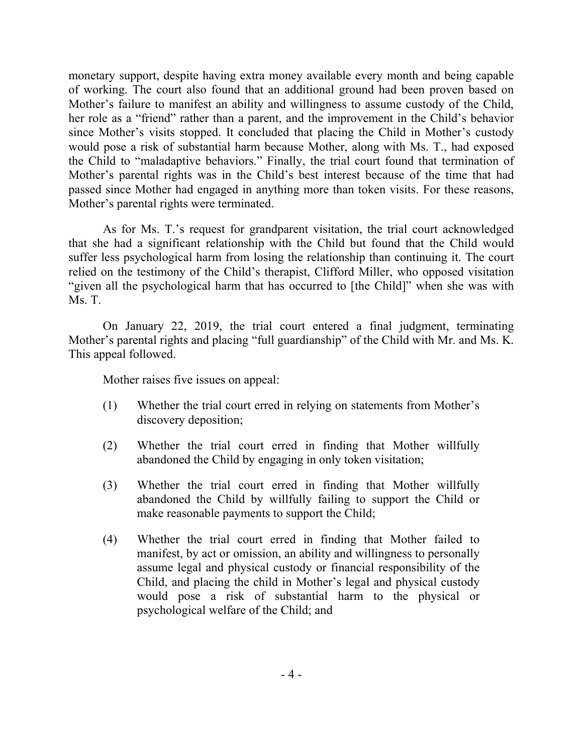monetary support, despite having extra money available every month and being capable of working. The court also found that an additional ground had been proven based on Mother's failure to manifest an ability and willingness to assume custody of the Child, her role as a "friend" rather than a parent, and the improvement in the Child's behavior since Mother's visits stopped. It concluded that placing the Child in Mother's custody would pose a risk of substantial harm because Mother, along with Ms. T., had exposed the Child to "maladaptive behaviors." Finally, the trial court found that termination of Mother's parental rights was in the Child's best interest because of the time that had passed since Mother had engaged in anything more than token visits. For these reasons, Mother's parental rights were terminated.

As for Ms. T.'s request for grandparent visitation, the trial court acknowledged that she had a significant relationship with the Child but found that the Child would suffer less psychological harm from losing the relationship than continuing it. The court relied on the testimony of the Child's therapist, Clifford Miller, who opposed visitation "given all the psychological harm that has occurred to [the Child]" when she was with Ms. T.

On January 22, 2019, the trial court entered a final judgment, terminating Mother's parental rights and placing "full guardianship" of the Child with Mr. and Ms. K. This appeal followed.

Mother raises five issues on appeal:

- (1) Whether the trial court erred in relying on statements from Mother's discovery deposition;
- (2) Whether the trial court erred in finding that Mother willfully abandoned the Child by engaging in only token visitation;
- (3) Whether the trial court erred in finding that Mother willfully abandoned the Child by willfully failing to support the Child or make reasonable payments to support the Child;
- (4) Whether the trial court erred in finding that Mother failed to manifest, by act or omission, an ability and willingness to personally assume legal and physical custody or financial responsibility of the Child, and placing the child in Mother's legal and physical custody would pose a risk of substantial harm to the physical or psychological welfare of the Child; and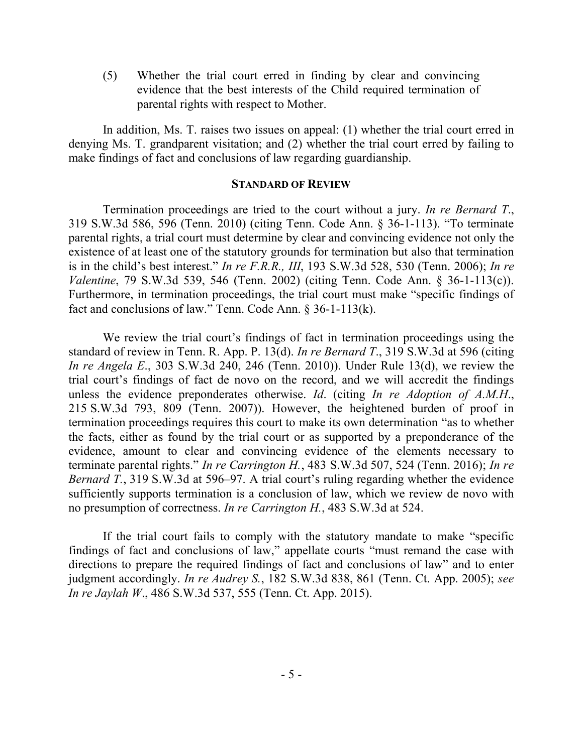(5) Whether the trial court erred in finding by clear and convincing evidence that the best interests of the Child required termination of parental rights with respect to Mother.

In addition, Ms. T. raises two issues on appeal: (1) whether the trial court erred in denying Ms. T. grandparent visitation; and (2) whether the trial court erred by failing to make findings of fact and conclusions of law regarding guardianship.

#### **STANDARD OF REVIEW**

Termination proceedings are tried to the court without a jury. *In re Bernard T*., 319 S.W.3d 586, 596 (Tenn. 2010) (citing Tenn. Code Ann. § 36-1-113). "To terminate parental rights, a trial court must determine by clear and convincing evidence not only the existence of at least one of the statutory grounds for termination but also that termination is in the child's best interest." *In re F.R.R., III*, 193 S.W.3d 528, 530 (Tenn. 2006); *In re Valentine*, 79 S.W.3d 539, 546 (Tenn. 2002) (citing Tenn. Code Ann. § 36-1-113(c)). Furthermore, in termination proceedings, the trial court must make "specific findings of fact and conclusions of law." Tenn. Code Ann. § 36-1-113(k).

We review the trial court's findings of fact in termination proceedings using the standard of review in Tenn. R. App. P. 13(d). *In re Bernard T*., 319 S.W.3d at 596 (citing *In re Angela E*., 303 S.W.3d 240, 246 (Tenn. 2010)). Under Rule 13(d), we review the trial court's findings of fact de novo on the record, and we will accredit the findings unless the evidence preponderates otherwise. *Id*. (citing *In re Adoption of A.M.H*., 215 S.W.3d 793, 809 (Tenn. 2007)). However, the heightened burden of proof in termination proceedings requires this court to make its own determination "as to whether the facts, either as found by the trial court or as supported by a preponderance of the evidence, amount to clear and convincing evidence of the elements necessary to terminate parental rights." *In re Carrington H.*, 483 S.W.3d 507, 524 (Tenn. 2016); *In re Bernard T.*, 319 S.W.3d at 596–97. A trial court's ruling regarding whether the evidence sufficiently supports termination is a conclusion of law, which we review de novo with no presumption of correctness. *In re Carrington H.*, 483 S.W.3d at 524.

If the trial court fails to comply with the statutory mandate to make "specific findings of fact and conclusions of law," appellate courts "must remand the case with directions to prepare the required findings of fact and conclusions of law" and to enter judgment accordingly. *In re Audrey S.*, 182 S.W.3d 838, 861 (Tenn. Ct. App. 2005); *see In re Jaylah W*., 486 S.W.3d 537, 555 (Tenn. Ct. App. 2015).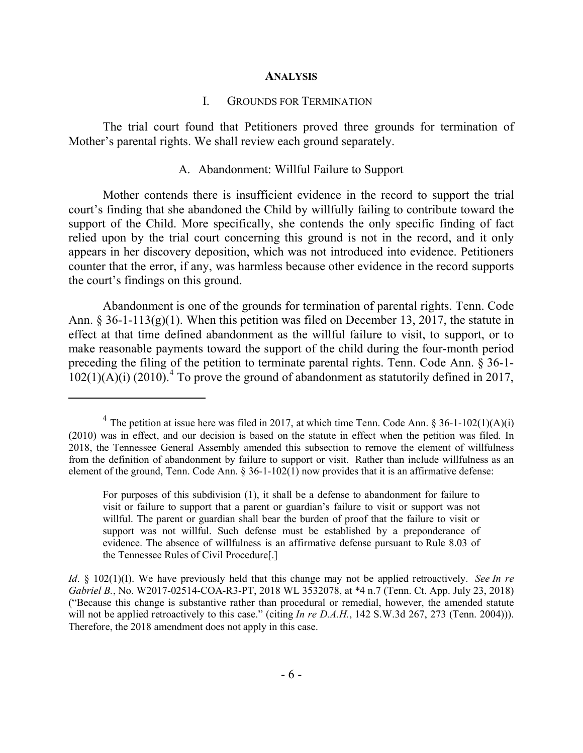#### **ANALYSIS**

#### I. GROUNDS FOR TERMINATION

The trial court found that Petitioners proved three grounds for termination of Mother's parental rights. We shall review each ground separately.

#### A. Abandonment: Willful Failure to Support

Mother contends there is insufficient evidence in the record to support the trial court's finding that she abandoned the Child by willfully failing to contribute toward the support of the Child. More specifically, she contends the only specific finding of fact relied upon by the trial court concerning this ground is not in the record, and it only appears in her discovery deposition, which was not introduced into evidence. Petitioners counter that the error, if any, was harmless because other evidence in the record supports the court's findings on this ground.

Abandonment is one of the grounds for termination of parental rights. Tenn. Code Ann. § 36-1-113(g)(1). When this petition was filed on December 13, 2017, the statute in effect at that time defined abandonment as the willful failure to visit, to support, or to make reasonable payments toward the support of the child during the four-month period preceding the filing of the petition to terminate parental rights. Tenn. Code Ann. § 36-1-  $102(1)(A)(i)$  (2010).<sup>4</sup> To prove the ground of abandonment as statutorily defined in 2017,

<sup>&</sup>lt;sup>4</sup> The petition at issue here was filed in 2017, at which time Tenn. Code Ann. § 36-1-102(1)(A)(i) (2010) was in effect, and our decision is based on the statute in effect when the petition was filed. In 2018, the Tennessee General Assembly amended this subsection to remove the element of willfulness from the definition of abandonment by failure to support or visit. Rather than include willfulness as an element of the ground, Tenn. Code Ann.  $\S 36$ -1-102(1) now provides that it is an affirmative defense:

For purposes of this subdivision (1), it shall be a defense to abandonment for failure to visit or failure to support that a parent or guardian's failure to visit or support was not willful. The parent or guardian shall bear the burden of proof that the failure to visit or support was not willful. Such defense must be established by a preponderance of evidence. The absence of willfulness is an affirmative defense pursuant to Rule 8.03 of the Tennessee Rules of Civil Procedure[.]

*Id*. § 102(1)(I). We have previously held that this change may not be applied retroactively. *See In re Gabriel B.*, No. W2017-02514-COA-R3-PT, 2018 WL 3532078, at \*4 n.7 (Tenn. Ct. App. July 23, 2018) ("Because this change is substantive rather than procedural or remedial, however, the amended statute will not be applied retroactively to this case." (citing *In re D.A.H.*, 142 S.W.3d 267, 273 (Tenn. 2004))). Therefore, the 2018 amendment does not apply in this case.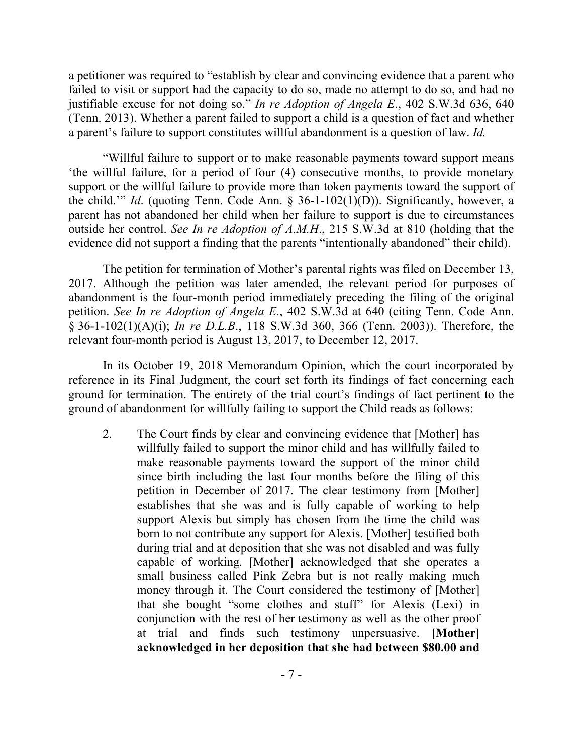a petitioner was required to "establish by clear and convincing evidence that a parent who failed to visit or support had the capacity to do so, made no attempt to do so, and had no justifiable excuse for not doing so." *In re Adoption of Angela E*., 402 S.W.3d 636, 640 (Tenn. 2013). Whether a parent failed to support a child is a question of fact and whether a parent's failure to support constitutes willful abandonment is a question of law. *Id.*

"Willful failure to support or to make reasonable payments toward support means 'the willful failure, for a period of four (4) consecutive months, to provide monetary support or the willful failure to provide more than token payments toward the support of the child.'" *Id*. (quoting Tenn. Code Ann. § 36-1-102(1)(D)). Significantly, however, a parent has not abandoned her child when her failure to support is due to circumstances outside her control. *See In re Adoption of A.M.H*., 215 S.W.3d at 810 (holding that the evidence did not support a finding that the parents "intentionally abandoned" their child).

The petition for termination of Mother's parental rights was filed on December 13, 2017. Although the petition was later amended, the relevant period for purposes of abandonment is the four-month period immediately preceding the filing of the original petition. *See In re Adoption of Angela E.*, 402 S.W.3d at 640 (citing Tenn. Code Ann. § 36-1-102(1)(A)(i); *In re D.L.B*., 118 S.W.3d 360, 366 (Tenn. 2003)). Therefore, the relevant four-month period is August 13, 2017, to December 12, 2017.

In its October 19, 2018 Memorandum Opinion, which the court incorporated by reference in its Final Judgment, the court set forth its findings of fact concerning each ground for termination. The entirety of the trial court's findings of fact pertinent to the ground of abandonment for willfully failing to support the Child reads as follows:

2. The Court finds by clear and convincing evidence that [Mother] has willfully failed to support the minor child and has willfully failed to make reasonable payments toward the support of the minor child since birth including the last four months before the filing of this petition in December of 2017. The clear testimony from [Mother] establishes that she was and is fully capable of working to help support Alexis but simply has chosen from the time the child was born to not contribute any support for Alexis. [Mother] testified both during trial and at deposition that she was not disabled and was fully capable of working. [Mother] acknowledged that she operates a small business called Pink Zebra but is not really making much money through it. The Court considered the testimony of [Mother] that she bought "some clothes and stuff" for Alexis (Lexi) in conjunction with the rest of her testimony as well as the other proof at trial and finds such testimony unpersuasive. **[Mother] acknowledged in her deposition that she had between \$80.00 and**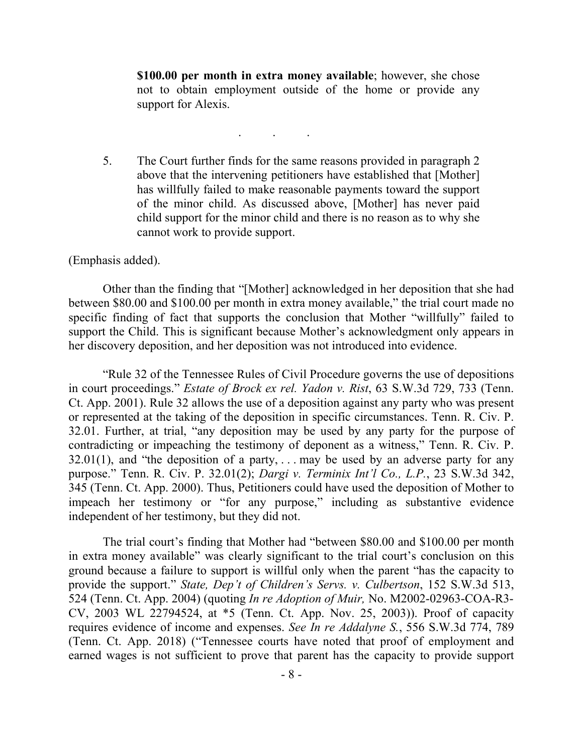**\$100.00 per month in extra money available**; however, she chose not to obtain employment outside of the home or provide any support for Alexis.

5. The Court further finds for the same reasons provided in paragraph 2 above that the intervening petitioners have established that [Mother] has willfully failed to make reasonable payments toward the support of the minor child. As discussed above, [Mother] has never paid child support for the minor child and there is no reason as to why she cannot work to provide support.

. . .

(Emphasis added).

Other than the finding that "[Mother] acknowledged in her deposition that she had between \$80.00 and \$100.00 per month in extra money available," the trial court made no specific finding of fact that supports the conclusion that Mother "willfully" failed to support the Child. This is significant because Mother's acknowledgment only appears in her discovery deposition, and her deposition was not introduced into evidence.

"Rule 32 of the Tennessee Rules of Civil Procedure governs the use of depositions in court proceedings." *Estate of Brock ex rel. Yadon v. Rist*, 63 S.W.3d 729, 733 (Tenn. Ct. App. 2001). Rule 32 allows the use of a deposition against any party who was present or represented at the taking of the deposition in specific circumstances. Tenn. R. Civ. P. 32.01. Further, at trial, "any deposition may be used by any party for the purpose of contradicting or impeaching the testimony of deponent as a witness," Tenn. R. Civ. P.  $32.01(1)$ , and "the deposition of a party, ... may be used by an adverse party for any purpose." Tenn. R. Civ. P. 32.01(2); *Dargi v. Terminix Int'l Co., L.P.*, 23 S.W.3d 342, 345 (Tenn. Ct. App. 2000). Thus, Petitioners could have used the deposition of Mother to impeach her testimony or "for any purpose," including as substantive evidence independent of her testimony, but they did not.

The trial court's finding that Mother had "between \$80.00 and \$100.00 per month in extra money available" was clearly significant to the trial court's conclusion on this ground because a failure to support is willful only when the parent "has the capacity to provide the support." *State, Dep't of Children's Servs. v. Culbertson*, 152 S.W.3d 513, 524 (Tenn. Ct. App. 2004) (quoting *In re Adoption of Muir,* No. M2002-02963-COA-R3- CV, 2003 WL 22794524, at \*5 (Tenn. Ct. App. Nov. 25, 2003)). Proof of capacity requires evidence of income and expenses. *See In re Addalyne S.*, 556 S.W.3d 774, 789 (Tenn. Ct. App. 2018) ("Tennessee courts have noted that proof of employment and earned wages is not sufficient to prove that parent has the capacity to provide support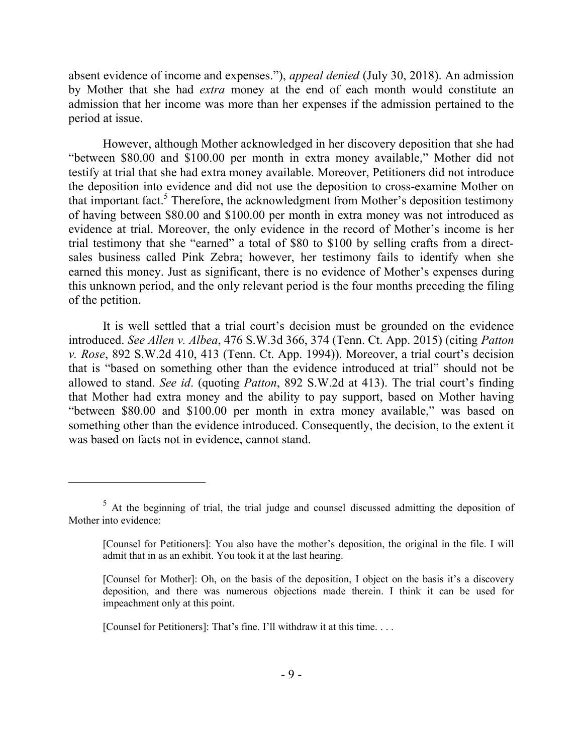absent evidence of income and expenses."), *appeal denied* (July 30, 2018). An admission by Mother that she had *extra* money at the end of each month would constitute an admission that her income was more than her expenses if the admission pertained to the period at issue.

However, although Mother acknowledged in her discovery deposition that she had "between \$80.00 and \$100.00 per month in extra money available," Mother did not testify at trial that she had extra money available. Moreover, Petitioners did not introduce the deposition into evidence and did not use the deposition to cross-examine Mother on that important fact.<sup>5</sup> Therefore, the acknowledgment from Mother's deposition testimony of having between \$80.00 and \$100.00 per month in extra money was not introduced as evidence at trial. Moreover, the only evidence in the record of Mother's income is her trial testimony that she "earned" a total of \$80 to \$100 by selling crafts from a directsales business called Pink Zebra; however, her testimony fails to identify when she earned this money. Just as significant, there is no evidence of Mother's expenses during this unknown period, and the only relevant period is the four months preceding the filing of the petition.

It is well settled that a trial court's decision must be grounded on the evidence introduced. *See Allen v. Albea*, 476 S.W.3d 366, 374 (Tenn. Ct. App. 2015) (citing *Patton v. Rose*, 892 S.W.2d 410, 413 (Tenn. Ct. App. 1994)). Moreover, a trial court's decision that is "based on something other than the evidence introduced at trial" should not be allowed to stand. *See id*. (quoting *Patton*, 892 S.W.2d at 413). The trial court's finding that Mother had extra money and the ability to pay support, based on Mother having "between \$80.00 and \$100.00 per month in extra money available," was based on something other than the evidence introduced. Consequently, the decision, to the extent it was based on facts not in evidence, cannot stand.

 $5$  At the beginning of trial, the trial judge and counsel discussed admitting the deposition of Mother into evidence:

<sup>[</sup>Counsel for Petitioners]: You also have the mother's deposition, the original in the file. I will admit that in as an exhibit. You took it at the last hearing.

<sup>[</sup>Counsel for Mother]: Oh, on the basis of the deposition, I object on the basis it's a discovery deposition, and there was numerous objections made therein. I think it can be used for impeachment only at this point.

<sup>[</sup>Counsel for Petitioners]: That's fine. I'll withdraw it at this time. . . .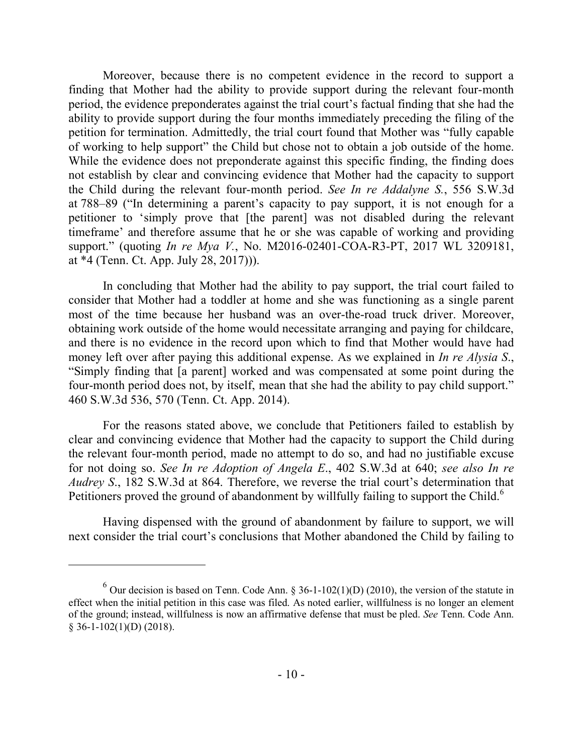Moreover, because there is no competent evidence in the record to support a finding that Mother had the ability to provide support during the relevant four-month period, the evidence preponderates against the trial court's factual finding that she had the ability to provide support during the four months immediately preceding the filing of the petition for termination. Admittedly, the trial court found that Mother was "fully capable of working to help support" the Child but chose not to obtain a job outside of the home. While the evidence does not preponderate against this specific finding, the finding does not establish by clear and convincing evidence that Mother had the capacity to support the Child during the relevant four-month period. *See In re Addalyne S.*, 556 S.W.3d at 788–89 ("In determining a parent's capacity to pay support, it is not enough for a petitioner to 'simply prove that [the parent] was not disabled during the relevant timeframe' and therefore assume that he or she was capable of working and providing support." (quoting *In re Mya V.*, No. M2016-02401-COA-R3-PT, 2017 WL 3209181, at \*4 (Tenn. Ct. App. July 28, 2017))).

In concluding that Mother had the ability to pay support, the trial court failed to consider that Mother had a toddler at home and she was functioning as a single parent most of the time because her husband was an over-the-road truck driver. Moreover, obtaining work outside of the home would necessitate arranging and paying for childcare, and there is no evidence in the record upon which to find that Mother would have had money left over after paying this additional expense. As we explained in *In re Alysia S*., "Simply finding that [a parent] worked and was compensated at some point during the four-month period does not, by itself, mean that she had the ability to pay child support." 460 S.W.3d 536, 570 (Tenn. Ct. App. 2014).

For the reasons stated above, we conclude that Petitioners failed to establish by clear and convincing evidence that Mother had the capacity to support the Child during the relevant four-month period, made no attempt to do so, and had no justifiable excuse for not doing so. *See In re Adoption of Angela E*., 402 S.W.3d at 640; *see also In re Audrey S*., 182 S.W.3d at 864. Therefore, we reverse the trial court's determination that Petitioners proved the ground of abandonment by willfully failing to support the Child.<sup>6</sup>

Having dispensed with the ground of abandonment by failure to support, we will next consider the trial court's conclusions that Mother abandoned the Child by failing to

<sup>&</sup>lt;sup>6</sup> Our decision is based on Tenn. Code Ann. § 36-1-102(1)(D) (2010), the version of the statute in effect when the initial petition in this case was filed. As noted earlier, willfulness is no longer an element of the ground; instead, willfulness is now an affirmative defense that must be pled. *See* Tenn. Code Ann.  $§ 36-1-102(1)(D) (2018).$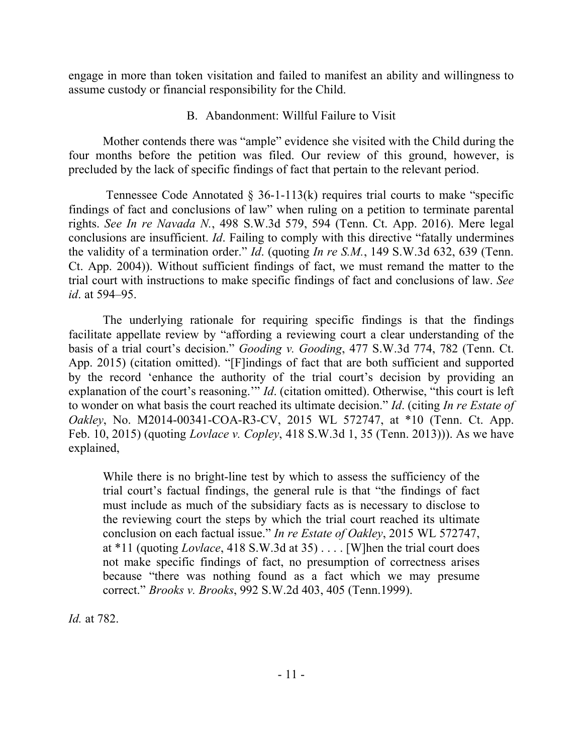engage in more than token visitation and failed to manifest an ability and willingness to assume custody or financial responsibility for the Child.

## B. Abandonment: Willful Failure to Visit

Mother contends there was "ample" evidence she visited with the Child during the four months before the petition was filed. Our review of this ground, however, is precluded by the lack of specific findings of fact that pertain to the relevant period.

Tennessee Code Annotated  $\S$  36-1-113(k) requires trial courts to make "specific findings of fact and conclusions of law" when ruling on a petition to terminate parental rights. *See In re Navada N.*, 498 S.W.3d 579, 594 (Tenn. Ct. App. 2016). Mere legal conclusions are insufficient. *Id*. Failing to comply with this directive "fatally undermines the validity of a termination order." *Id*. (quoting *In re S.M.*, 149 S.W.3d 632, 639 (Tenn. Ct. App. 2004)). Without sufficient findings of fact, we must remand the matter to the trial court with instructions to make specific findings of fact and conclusions of law. *See id*. at 594–95.

The underlying rationale for requiring specific findings is that the findings facilitate appellate review by "affording a reviewing court a clear understanding of the basis of a trial court's decision." *Gooding v. Gooding*, 477 S.W.3d 774, 782 (Tenn. Ct. App. 2015) (citation omitted). "[F]indings of fact that are both sufficient and supported by the record 'enhance the authority of the trial court's decision by providing an explanation of the court's reasoning.'" *Id*. (citation omitted). Otherwise, "this court is left to wonder on what basis the court reached its ultimate decision." *Id*. (citing *In re Estate of Oakley*, No. M2014-00341-COA-R3-CV, 2015 WL 572747, at \*10 (Tenn. Ct. App. Feb. 10, 2015) (quoting *Lovlace v. Copley*, 418 S.W.3d 1, 35 (Tenn. 2013))). As we have explained,

While there is no bright-line test by which to assess the sufficiency of the trial court's factual findings, the general rule is that "the findings of fact must include as much of the subsidiary facts as is necessary to disclose to the reviewing court the steps by which the trial court reached its ultimate conclusion on each factual issue." *In re Estate of Oakley*, 2015 WL 572747, at \*11 (quoting *Lovlace*, 418 S.W.3d at 35) . . . . [W]hen the trial court does not make specific findings of fact, no presumption of correctness arises because "there was nothing found as a fact which we may presume correct." *Brooks v. Brooks*, 992 S.W.2d 403, 405 (Tenn.1999).

*Id.* at 782.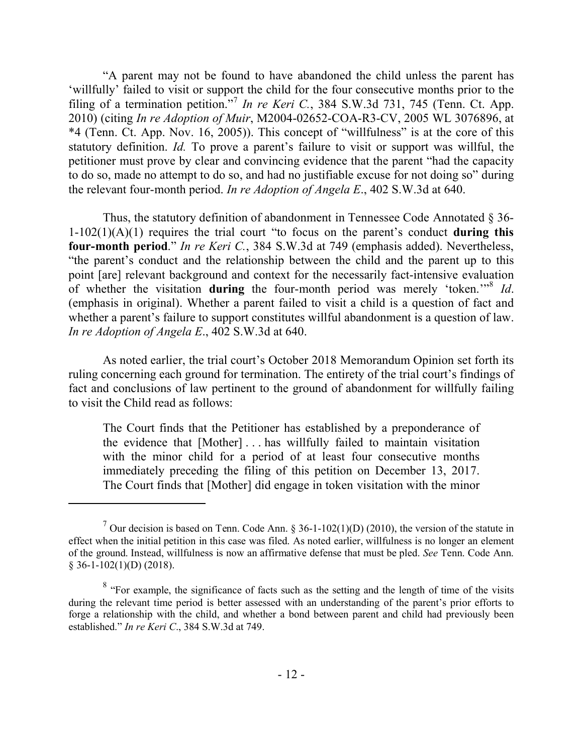"A parent may not be found to have abandoned the child unless the parent has 'willfully' failed to visit or support the child for the four consecutive months prior to the filing of a termination petition."<sup>7</sup> In re Keri C., 384 S.W.3d 731, 745 (Tenn. Ct. App. 2010) (citing *In re Adoption of Muir*, M2004-02652-COA-R3-CV, 2005 WL 3076896, at \*4 (Tenn. Ct. App. Nov. 16, 2005)). This concept of "willfulness" is at the core of this statutory definition. *Id.* To prove a parent's failure to visit or support was willful, the petitioner must prove by clear and convincing evidence that the parent "had the capacity to do so, made no attempt to do so, and had no justifiable excuse for not doing so" during the relevant four-month period. *In re Adoption of Angela E*., 402 S.W.3d at 640.

Thus, the statutory definition of abandonment in Tennessee Code Annotated § 36- 1-102(1)(A)(1) requires the trial court "to focus on the parent's conduct **during this four-month period**." *In re Keri C.*, 384 S.W.3d at 749 (emphasis added). Nevertheless, "the parent's conduct and the relationship between the child and the parent up to this point [are] relevant background and context for the necessarily fact-intensive evaluation of whether the visitation **during** the four-month period was merely 'token.'" 8 *Id*. (emphasis in original). Whether a parent failed to visit a child is a question of fact and whether a parent's failure to support constitutes willful abandonment is a question of law. *In re Adoption of Angela E*., 402 S.W.3d at 640.

As noted earlier, the trial court's October 2018 Memorandum Opinion set forth its ruling concerning each ground for termination. The entirety of the trial court's findings of fact and conclusions of law pertinent to the ground of abandonment for willfully failing to visit the Child read as follows:

The Court finds that the Petitioner has established by a preponderance of the evidence that [Mother] . . . has willfully failed to maintain visitation with the minor child for a period of at least four consecutive months immediately preceding the filing of this petition on December 13, 2017. The Court finds that [Mother] did engage in token visitation with the minor

<sup>&</sup>lt;sup>7</sup> Our decision is based on Tenn. Code Ann. § 36-1-102(1)(D) (2010), the version of the statute in effect when the initial petition in this case was filed. As noted earlier, willfulness is no longer an element of the ground. Instead, willfulness is now an affirmative defense that must be pled. *See* Tenn. Code Ann.  $§ 36-1-102(1)(D) (2018).$ 

 $8$  "For example, the significance of facts such as the setting and the length of time of the visits during the relevant time period is better assessed with an understanding of the parent's prior efforts to forge a relationship with the child, and whether a bond between parent and child had previously been established." *In re Keri C*., 384 S.W.3d at 749.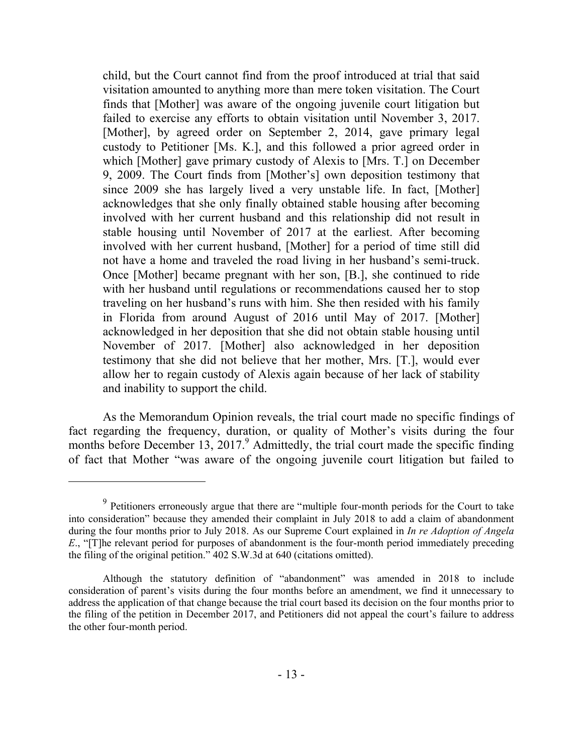child, but the Court cannot find from the proof introduced at trial that said visitation amounted to anything more than mere token visitation. The Court finds that [Mother] was aware of the ongoing juvenile court litigation but failed to exercise any efforts to obtain visitation until November 3, 2017. [Mother], by agreed order on September 2, 2014, gave primary legal custody to Petitioner [Ms. K.], and this followed a prior agreed order in which [Mother] gave primary custody of Alexis to [Mrs. T.] on December 9, 2009. The Court finds from [Mother's] own deposition testimony that since 2009 she has largely lived a very unstable life. In fact, [Mother] acknowledges that she only finally obtained stable housing after becoming involved with her current husband and this relationship did not result in stable housing until November of 2017 at the earliest. After becoming involved with her current husband, [Mother] for a period of time still did not have a home and traveled the road living in her husband's semi-truck. Once [Mother] became pregnant with her son, [B.], she continued to ride with her husband until regulations or recommendations caused her to stop traveling on her husband's runs with him. She then resided with his family in Florida from around August of 2016 until May of 2017. [Mother] acknowledged in her deposition that she did not obtain stable housing until November of 2017. [Mother] also acknowledged in her deposition testimony that she did not believe that her mother, Mrs. [T.], would ever allow her to regain custody of Alexis again because of her lack of stability and inability to support the child.

As the Memorandum Opinion reveals, the trial court made no specific findings of fact regarding the frequency, duration, or quality of Mother's visits during the four months before December 13, 2017.<sup>9</sup> Admittedly, the trial court made the specific finding of fact that Mother "was aware of the ongoing juvenile court litigation but failed to

<sup>&</sup>lt;sup>9</sup> Petitioners erroneously argue that there are "multiple four-month periods for the Court to take into consideration" because they amended their complaint in July 2018 to add a claim of abandonment during the four months prior to July 2018. As our Supreme Court explained in *In re Adoption of Angela E*., "[T]he relevant period for purposes of abandonment is the four-month period immediately preceding the filing of the original petition." 402 S.W.3d at 640 (citations omitted).

Although the statutory definition of "abandonment" was amended in 2018 to include consideration of parent's visits during the four months before an amendment, we find it unnecessary to address the application of that change because the trial court based its decision on the four months prior to the filing of the petition in December 2017, and Petitioners did not appeal the court's failure to address the other four-month period.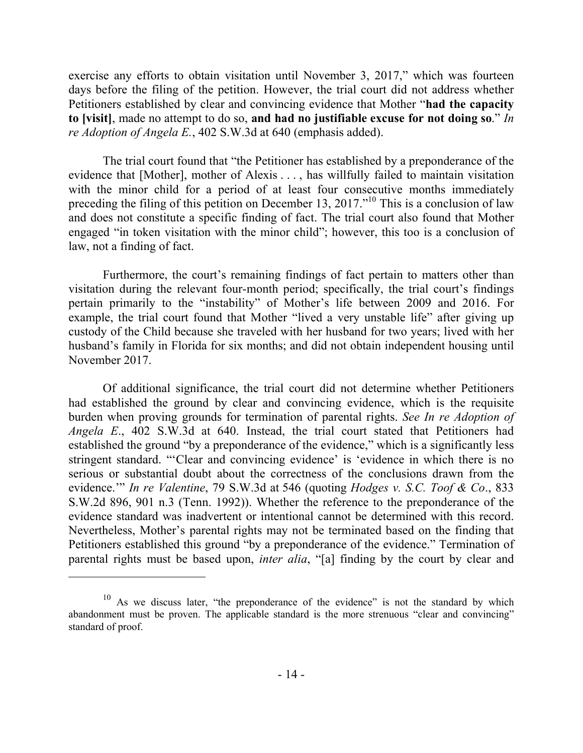exercise any efforts to obtain visitation until November 3, 2017," which was fourteen days before the filing of the petition. However, the trial court did not address whether Petitioners established by clear and convincing evidence that Mother "**had the capacity to [visit]**, made no attempt to do so, **and had no justifiable excuse for not doing so**." *In re Adoption of Angela E.*, 402 S.W.3d at 640 (emphasis added).

The trial court found that "the Petitioner has established by a preponderance of the evidence that [Mother], mother of Alexis . . . , has willfully failed to maintain visitation with the minor child for a period of at least four consecutive months immediately preceding the filing of this petition on December 13, 2017."<sup>10</sup> This is a conclusion of law and does not constitute a specific finding of fact. The trial court also found that Mother engaged "in token visitation with the minor child"; however, this too is a conclusion of law, not a finding of fact.

Furthermore, the court's remaining findings of fact pertain to matters other than visitation during the relevant four-month period; specifically, the trial court's findings pertain primarily to the "instability" of Mother's life between 2009 and 2016. For example, the trial court found that Mother "lived a very unstable life" after giving up custody of the Child because she traveled with her husband for two years; lived with her husband's family in Florida for six months; and did not obtain independent housing until November 2017.

Of additional significance, the trial court did not determine whether Petitioners had established the ground by clear and convincing evidence, which is the requisite burden when proving grounds for termination of parental rights. *See In re Adoption of Angela E*., 402 S.W.3d at 640. Instead, the trial court stated that Petitioners had established the ground "by a preponderance of the evidence," which is a significantly less stringent standard. "'Clear and convincing evidence' is 'evidence in which there is no serious or substantial doubt about the correctness of the conclusions drawn from the evidence.'" *In re Valentine*, 79 S.W.3d at 546 (quoting *Hodges v. S.C. Toof & Co*., 833 S.W.2d 896, 901 n.3 (Tenn. 1992)). Whether the reference to the preponderance of the evidence standard was inadvertent or intentional cannot be determined with this record. Nevertheless, Mother's parental rights may not be terminated based on the finding that Petitioners established this ground "by a preponderance of the evidence." Termination of parental rights must be based upon, *inter alia*, "[a] finding by the court by clear and

 $10$  As we discuss later, "the preponderance of the evidence" is not the standard by which abandonment must be proven. The applicable standard is the more strenuous "clear and convincing" standard of proof.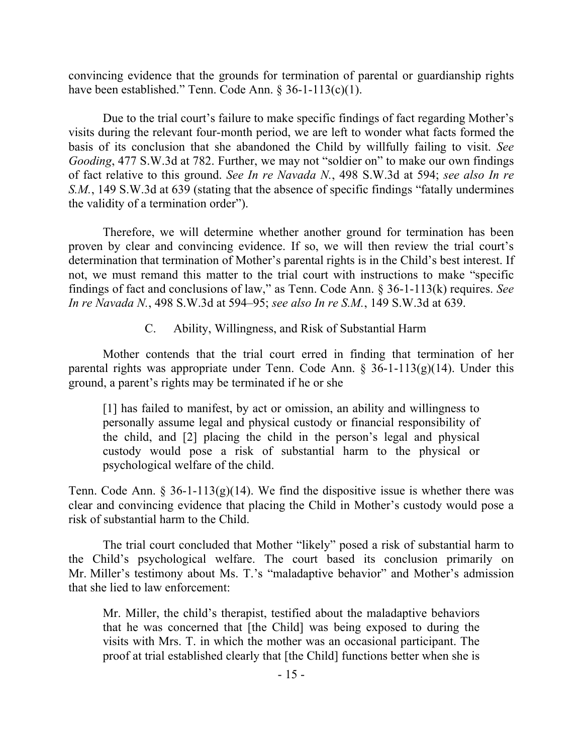convincing evidence that the grounds for termination of parental or guardianship rights have been established." Tenn. Code Ann. § 36-1-113(c)(1).

Due to the trial court's failure to make specific findings of fact regarding Mother's visits during the relevant four-month period, we are left to wonder what facts formed the basis of its conclusion that she abandoned the Child by willfully failing to visit. *See Gooding*, 477 S.W.3d at 782. Further, we may not "soldier on" to make our own findings of fact relative to this ground. *See In re Navada N.*, 498 S.W.3d at 594; *see also In re S.M.*, 149 S.W.3d at 639 (stating that the absence of specific findings "fatally undermines the validity of a termination order").

Therefore, we will determine whether another ground for termination has been proven by clear and convincing evidence. If so, we will then review the trial court's determination that termination of Mother's parental rights is in the Child's best interest. If not, we must remand this matter to the trial court with instructions to make "specific findings of fact and conclusions of law," as Tenn. Code Ann. § 36-1-113(k) requires. *See In re Navada N.*, 498 S.W.3d at 594–95; *see also In re S.M.*, 149 S.W.3d at 639.

C. Ability, Willingness, and Risk of Substantial Harm

Mother contends that the trial court erred in finding that termination of her parental rights was appropriate under Tenn. Code Ann. § 36-1-113(g)(14). Under this ground, a parent's rights may be terminated if he or she

[1] has failed to manifest, by act or omission, an ability and willingness to personally assume legal and physical custody or financial responsibility of the child, and [2] placing the child in the person's legal and physical custody would pose a risk of substantial harm to the physical or psychological welfare of the child.

Tenn. Code Ann.  $\S 36$ -1-113(g)(14). We find the dispositive issue is whether there was clear and convincing evidence that placing the Child in Mother's custody would pose a risk of substantial harm to the Child.

The trial court concluded that Mother "likely" posed a risk of substantial harm to the Child's psychological welfare. The court based its conclusion primarily on Mr. Miller's testimony about Ms. T.'s "maladaptive behavior" and Mother's admission that she lied to law enforcement:

Mr. Miller, the child's therapist, testified about the maladaptive behaviors that he was concerned that [the Child] was being exposed to during the visits with Mrs. T. in which the mother was an occasional participant. The proof at trial established clearly that [the Child] functions better when she is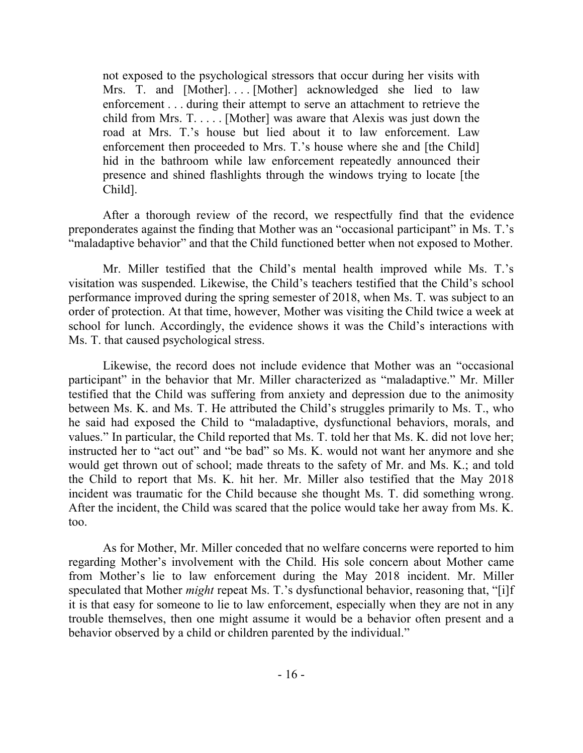not exposed to the psychological stressors that occur during her visits with Mrs. T. and [Mother].... [Mother] acknowledged she lied to law enforcement . . . during their attempt to serve an attachment to retrieve the child from Mrs. T. . . . . [Mother] was aware that Alexis was just down the road at Mrs. T.'s house but lied about it to law enforcement. Law enforcement then proceeded to Mrs. T.'s house where she and [the Child] hid in the bathroom while law enforcement repeatedly announced their presence and shined flashlights through the windows trying to locate [the Child].

After a thorough review of the record, we respectfully find that the evidence preponderates against the finding that Mother was an "occasional participant" in Ms. T.'s "maladaptive behavior" and that the Child functioned better when not exposed to Mother.

Mr. Miller testified that the Child's mental health improved while Ms. T.'s visitation was suspended. Likewise, the Child's teachers testified that the Child's school performance improved during the spring semester of 2018, when Ms. T. was subject to an order of protection. At that time, however, Mother was visiting the Child twice a week at school for lunch. Accordingly, the evidence shows it was the Child's interactions with Ms. T. that caused psychological stress.

Likewise, the record does not include evidence that Mother was an "occasional participant" in the behavior that Mr. Miller characterized as "maladaptive." Mr. Miller testified that the Child was suffering from anxiety and depression due to the animosity between Ms. K. and Ms. T. He attributed the Child's struggles primarily to Ms. T., who he said had exposed the Child to "maladaptive, dysfunctional behaviors, morals, and values." In particular, the Child reported that Ms. T. told her that Ms. K. did not love her; instructed her to "act out" and "be bad" so Ms. K. would not want her anymore and she would get thrown out of school; made threats to the safety of Mr. and Ms. K.; and told the Child to report that Ms. K. hit her. Mr. Miller also testified that the May 2018 incident was traumatic for the Child because she thought Ms. T. did something wrong. After the incident, the Child was scared that the police would take her away from Ms. K. too.

As for Mother, Mr. Miller conceded that no welfare concerns were reported to him regarding Mother's involvement with the Child. His sole concern about Mother came from Mother's lie to law enforcement during the May 2018 incident. Mr. Miller speculated that Mother *might* repeat Ms. T.'s dysfunctional behavior, reasoning that, "[i]f it is that easy for someone to lie to law enforcement, especially when they are not in any trouble themselves, then one might assume it would be a behavior often present and a behavior observed by a child or children parented by the individual."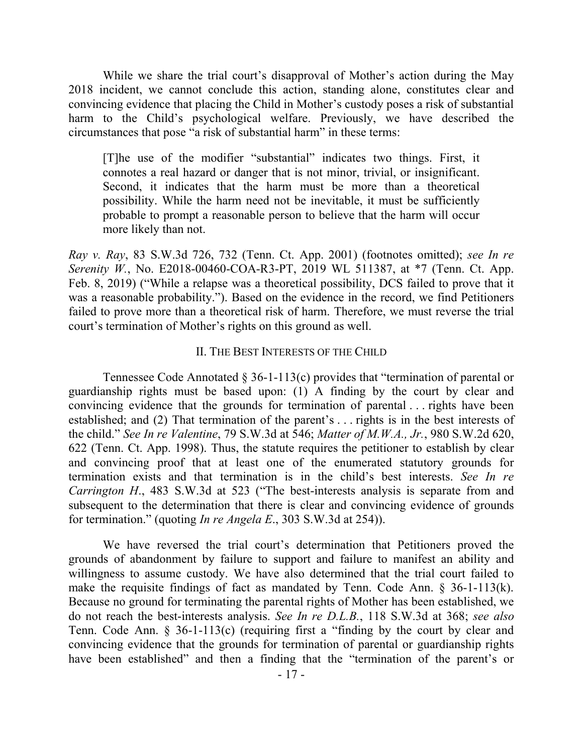While we share the trial court's disapproval of Mother's action during the May 2018 incident, we cannot conclude this action, standing alone, constitutes clear and convincing evidence that placing the Child in Mother's custody poses a risk of substantial harm to the Child's psychological welfare. Previously, we have described the circumstances that pose "a risk of substantial harm" in these terms:

[T]he use of the modifier "substantial" indicates two things. First, it connotes a real hazard or danger that is not minor, trivial, or insignificant. Second, it indicates that the harm must be more than a theoretical possibility. While the harm need not be inevitable, it must be sufficiently probable to prompt a reasonable person to believe that the harm will occur more likely than not.

*Ray v. Ray*, 83 S.W.3d 726, 732 (Tenn. Ct. App. 2001) (footnotes omitted); *see In re Serenity W.*, No. E2018-00460-COA-R3-PT, 2019 WL 511387, at \*7 (Tenn. Ct. App. Feb. 8, 2019) ("While a relapse was a theoretical possibility, DCS failed to prove that it was a reasonable probability."). Based on the evidence in the record, we find Petitioners failed to prove more than a theoretical risk of harm. Therefore, we must reverse the trial court's termination of Mother's rights on this ground as well.

#### II. THE BEST INTERESTS OF THE CHILD

Tennessee Code Annotated § 36-1-113(c) provides that "termination of parental or guardianship rights must be based upon: (1) A finding by the court by clear and convincing evidence that the grounds for termination of parental . . . rights have been established; and (2) That termination of the parent's . . . rights is in the best interests of the child." *See In re Valentine*, 79 S.W.3d at 546; *Matter of M.W.A., Jr.*, 980 S.W.2d 620, 622 (Tenn. Ct. App. 1998). Thus, the statute requires the petitioner to establish by clear and convincing proof that at least one of the enumerated statutory grounds for termination exists and that termination is in the child's best interests. *See In re Carrington H*., 483 S.W.3d at 523 ("The best-interests analysis is separate from and subsequent to the determination that there is clear and convincing evidence of grounds for termination." (quoting *In re Angela E*., 303 S.W.3d at 254)).

We have reversed the trial court's determination that Petitioners proved the grounds of abandonment by failure to support and failure to manifest an ability and willingness to assume custody. We have also determined that the trial court failed to make the requisite findings of fact as mandated by Tenn. Code Ann. § 36-1-113(k). Because no ground for terminating the parental rights of Mother has been established, we do not reach the best-interests analysis. *See In re D.L.B.*, 118 S.W.3d at 368; *see also* Tenn. Code Ann. § 36-1-113(c) (requiring first a "finding by the court by clear and convincing evidence that the grounds for termination of parental or guardianship rights have been established" and then a finding that the "termination of the parent's or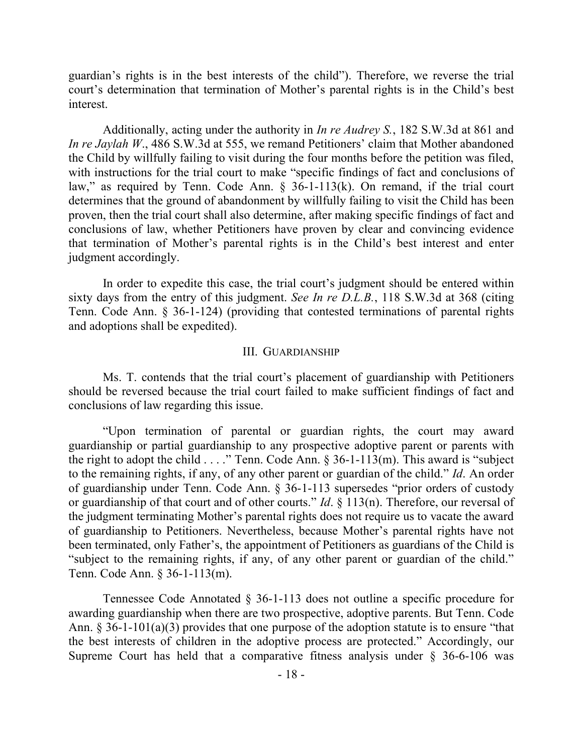guardian's rights is in the best interests of the child"). Therefore, we reverse the trial court's determination that termination of Mother's parental rights is in the Child's best interest.

Additionally, acting under the authority in *In re Audrey S.*, 182 S.W.3d at 861 and *In re Jaylah W*., 486 S.W.3d at 555, we remand Petitioners' claim that Mother abandoned the Child by willfully failing to visit during the four months before the petition was filed, with instructions for the trial court to make "specific findings of fact and conclusions of law," as required by Tenn. Code Ann.  $\S$  36-1-113(k). On remand, if the trial court determines that the ground of abandonment by willfully failing to visit the Child has been proven, then the trial court shall also determine, after making specific findings of fact and conclusions of law, whether Petitioners have proven by clear and convincing evidence that termination of Mother's parental rights is in the Child's best interest and enter judgment accordingly.

In order to expedite this case, the trial court's judgment should be entered within sixty days from the entry of this judgment. *See In re D.L.B.*, 118 S.W.3d at 368 (citing Tenn. Code Ann. § 36-1-124) (providing that contested terminations of parental rights and adoptions shall be expedited).

#### III. GUARDIANSHIP

Ms. T. contends that the trial court's placement of guardianship with Petitioners should be reversed because the trial court failed to make sufficient findings of fact and conclusions of law regarding this issue.

"Upon termination of parental or guardian rights, the court may award guardianship or partial guardianship to any prospective adoptive parent or parents with the right to adopt the child . . . ." Tenn. Code Ann. § 36-1-113(m). This award is "subject to the remaining rights, if any, of any other parent or guardian of the child." *Id*. An order of guardianship under Tenn. Code Ann. § 36-1-113 supersedes "prior orders of custody or guardianship of that court and of other courts." *Id*. § 113(n). Therefore, our reversal of the judgment terminating Mother's parental rights does not require us to vacate the award of guardianship to Petitioners. Nevertheless, because Mother's parental rights have not been terminated, only Father's, the appointment of Petitioners as guardians of the Child is "subject to the remaining rights, if any, of any other parent or guardian of the child." Tenn. Code Ann. § 36-1-113(m).

Tennessee Code Annotated § 36-1-113 does not outline a specific procedure for awarding guardianship when there are two prospective, adoptive parents. But Tenn. Code Ann. § 36-1-101(a)(3) provides that one purpose of the adoption statute is to ensure "that the best interests of children in the adoptive process are protected." Accordingly, our Supreme Court has held that a comparative fitness analysis under § 36-6-106 was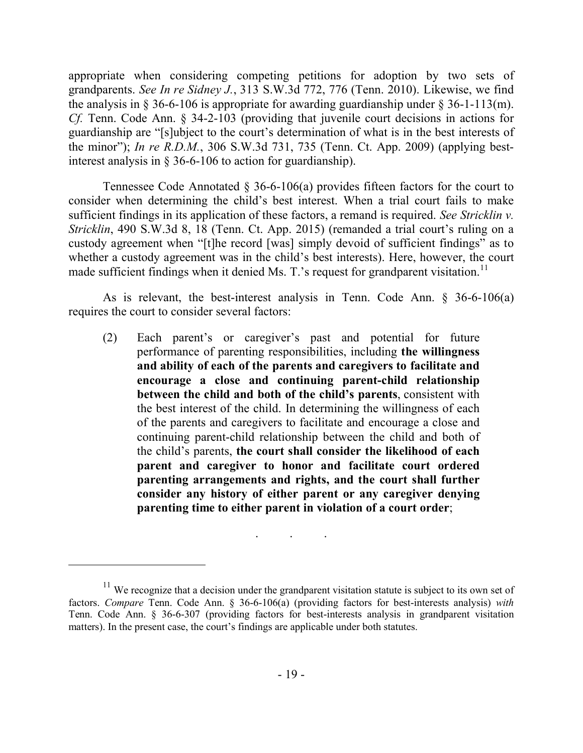appropriate when considering competing petitions for adoption by two sets of grandparents. *See In re Sidney J.*, 313 S.W.3d 772, 776 (Tenn. 2010). Likewise, we find the analysis in § 36-6-106 is appropriate for awarding guardianship under § 36-1-113(m). *Cf.* Tenn. Code Ann. § 34-2-103 (providing that juvenile court decisions in actions for guardianship are "[s]ubject to the court's determination of what is in the best interests of the minor"); *In re R.D.M.*, 306 S.W.3d 731, 735 (Tenn. Ct. App. 2009) (applying bestinterest analysis in § 36-6-106 to action for guardianship).

Tennessee Code Annotated § 36-6-106(a) provides fifteen factors for the court to consider when determining the child's best interest. When a trial court fails to make sufficient findings in its application of these factors, a remand is required. *See Stricklin v. Stricklin*, 490 S.W.3d 8, 18 (Tenn. Ct. App. 2015) (remanded a trial court's ruling on a custody agreement when "[t]he record [was] simply devoid of sufficient findings" as to whether a custody agreement was in the child's best interests). Here, however, the court made sufficient findings when it denied Ms. T.'s request for grandparent visitation.<sup>11</sup>

As is relevant, the best-interest analysis in Tenn. Code Ann. § 36-6-106(a) requires the court to consider several factors:

(2) Each parent's or caregiver's past and potential for future performance of parenting responsibilities, including **the willingness and ability of each of the parents and caregivers to facilitate and encourage a close and continuing parent-child relationship between the child and both of the child's parents**, consistent with the best interest of the child. In determining the willingness of each of the parents and caregivers to facilitate and encourage a close and continuing parent-child relationship between the child and both of the child's parents, **the court shall consider the likelihood of each parent and caregiver to honor and facilitate court ordered parenting arrangements and rights, and the court shall further consider any history of either parent or any caregiver denying parenting time to either parent in violation of a court order**;

. . .

 $11$  We recognize that a decision under the grandparent visitation statute is subject to its own set of factors. *Compare* Tenn. Code Ann. § 36-6-106(a) (providing factors for best-interests analysis) *with* Tenn. Code Ann. § 36-6-307 (providing factors for best-interests analysis in grandparent visitation matters). In the present case, the court's findings are applicable under both statutes.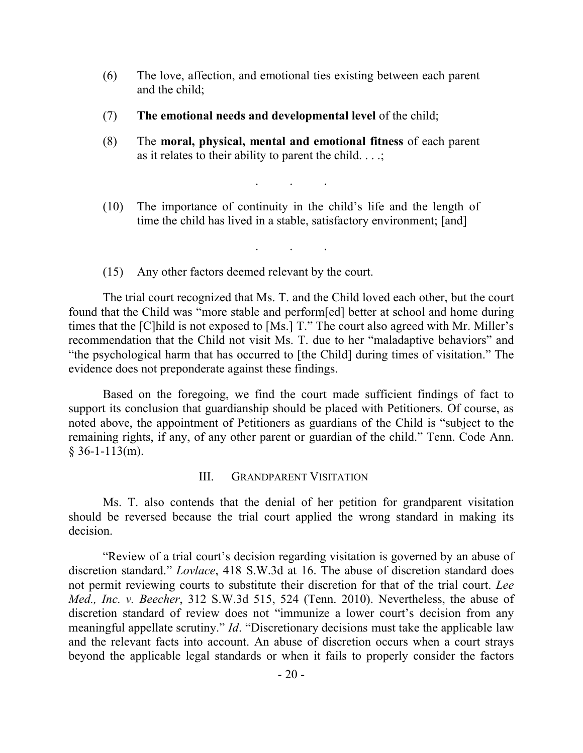- (6) The love, affection, and emotional ties existing between each parent and the child;
- (7) **The emotional needs and developmental level** of the child;
- (8) The **moral, physical, mental and emotional fitness** of each parent as it relates to their ability to parent the child.  $\ldots$ ;
- (10) The importance of continuity in the child's life and the length of time the child has lived in a stable, satisfactory environment; [and]

. . .

. . .

(15) Any other factors deemed relevant by the court.

The trial court recognized that Ms. T. and the Child loved each other, but the court found that the Child was "more stable and perform[ed] better at school and home during times that the [C]hild is not exposed to [Ms.] T." The court also agreed with Mr. Miller's recommendation that the Child not visit Ms. T. due to her "maladaptive behaviors" and "the psychological harm that has occurred to [the Child] during times of visitation." The evidence does not preponderate against these findings.

Based on the foregoing, we find the court made sufficient findings of fact to support its conclusion that guardianship should be placed with Petitioners. Of course, as noted above, the appointment of Petitioners as guardians of the Child is "subject to the remaining rights, if any, of any other parent or guardian of the child." Tenn. Code Ann.  $$36-1-113(m).$ 

#### III. GRANDPARENT VISITATION

Ms. T. also contends that the denial of her petition for grandparent visitation should be reversed because the trial court applied the wrong standard in making its decision.

"Review of a trial court's decision regarding visitation is governed by an abuse of discretion standard." *Lovlace*, 418 S.W.3d at 16. The abuse of discretion standard does not permit reviewing courts to substitute their discretion for that of the trial court. *Lee Med., Inc. v. Beecher*, 312 S.W.3d 515, 524 (Tenn. 2010). Nevertheless, the abuse of discretion standard of review does not "immunize a lower court's decision from any meaningful appellate scrutiny." *Id*. "Discretionary decisions must take the applicable law and the relevant facts into account. An abuse of discretion occurs when a court strays beyond the applicable legal standards or when it fails to properly consider the factors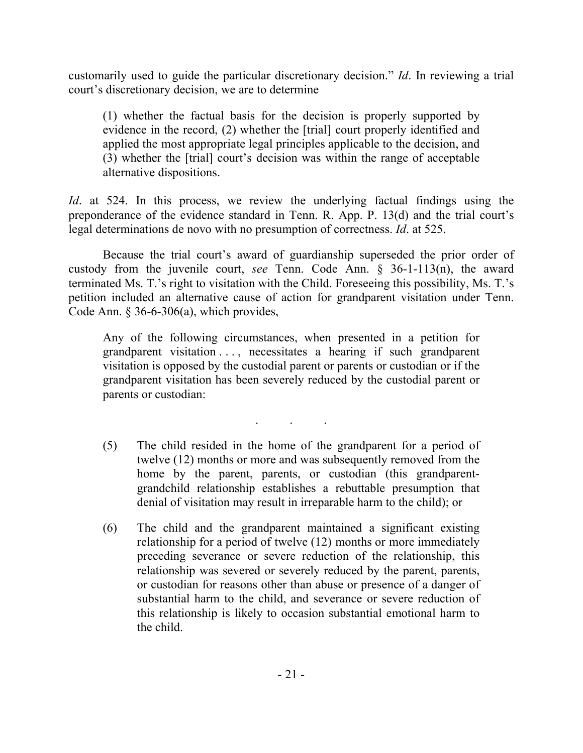customarily used to guide the particular discretionary decision." *Id*. In reviewing a trial court's discretionary decision, we are to determine

(1) whether the factual basis for the decision is properly supported by evidence in the record, (2) whether the [trial] court properly identified and applied the most appropriate legal principles applicable to the decision, and (3) whether the [trial] court's decision was within the range of acceptable alternative dispositions.

*Id*. at 524. In this process, we review the underlying factual findings using the preponderance of the evidence standard in Tenn. R. App. P. 13(d) and the trial court's legal determinations de novo with no presumption of correctness. *Id*. at 525.

Because the trial court's award of guardianship superseded the prior order of custody from the juvenile court, *see* Tenn. Code Ann. § 36-1-113(n), the award terminated Ms. T.'s right to visitation with the Child. Foreseeing this possibility, Ms. T.'s petition included an alternative cause of action for grandparent visitation under Tenn. Code Ann.  $§$  36-6-306(a), which provides,

Any of the following circumstances, when presented in a petition for grandparent visitation . . . , necessitates a hearing if such grandparent visitation is opposed by the custodial parent or parents or custodian or if the grandparent visitation has been severely reduced by the custodial parent or parents or custodian:

. . .

- (5) The child resided in the home of the grandparent for a period of twelve (12) months or more and was subsequently removed from the home by the parent, parents, or custodian (this grandparentgrandchild relationship establishes a rebuttable presumption that denial of visitation may result in irreparable harm to the child); or
- (6) The child and the grandparent maintained a significant existing relationship for a period of twelve (12) months or more immediately preceding severance or severe reduction of the relationship, this relationship was severed or severely reduced by the parent, parents, or custodian for reasons other than abuse or presence of a danger of substantial harm to the child, and severance or severe reduction of this relationship is likely to occasion substantial emotional harm to the child.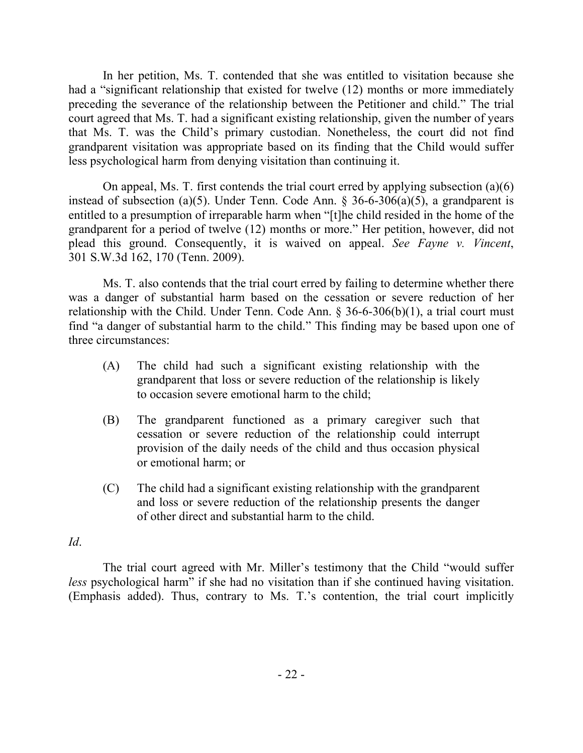In her petition, Ms. T. contended that she was entitled to visitation because she had a "significant relationship that existed for twelve (12) months or more immediately preceding the severance of the relationship between the Petitioner and child." The trial court agreed that Ms. T. had a significant existing relationship, given the number of years that Ms. T. was the Child's primary custodian. Nonetheless, the court did not find grandparent visitation was appropriate based on its finding that the Child would suffer less psychological harm from denying visitation than continuing it.

On appeal, Ms. T. first contends the trial court erred by applying subsection (a)(6) instead of subsection (a)(5). Under Tenn. Code Ann. § 36-6-306(a)(5), a grandparent is entitled to a presumption of irreparable harm when "[t]he child resided in the home of the grandparent for a period of twelve (12) months or more." Her petition, however, did not plead this ground. Consequently, it is waived on appeal. *See Fayne v. Vincent*, 301 S.W.3d 162, 170 (Tenn. 2009).

Ms. T. also contends that the trial court erred by failing to determine whether there was a danger of substantial harm based on the cessation or severe reduction of her relationship with the Child. Under Tenn. Code Ann. § 36-6-306(b)(1), a trial court must find "a danger of substantial harm to the child." This finding may be based upon one of three circumstances:

- (A) The child had such a significant existing relationship with the grandparent that loss or severe reduction of the relationship is likely to occasion severe emotional harm to the child;
- (B) The grandparent functioned as a primary caregiver such that cessation or severe reduction of the relationship could interrupt provision of the daily needs of the child and thus occasion physical or emotional harm; or
- (C) The child had a significant existing relationship with the grandparent and loss or severe reduction of the relationship presents the danger of other direct and substantial harm to the child.

## *Id*.

The trial court agreed with Mr. Miller's testimony that the Child "would suffer *less* psychological harm" if she had no visitation than if she continued having visitation. (Emphasis added). Thus, contrary to Ms. T.'s contention, the trial court implicitly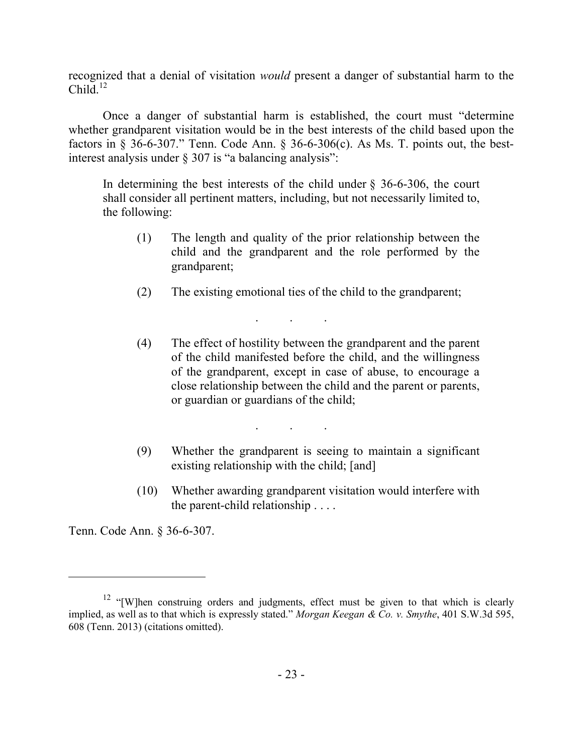recognized that a denial of visitation *would* present a danger of substantial harm to the Child. $^{12}$ 

Once a danger of substantial harm is established, the court must "determine whether grandparent visitation would be in the best interests of the child based upon the factors in  $\S$  36-6-307." Tenn. Code Ann.  $\S$  36-6-306(c). As Ms. T. points out, the bestinterest analysis under § 307 is "a balancing analysis":

In determining the best interests of the child under  $\S$  36-6-306, the court shall consider all pertinent matters, including, but not necessarily limited to, the following:

- (1) The length and quality of the prior relationship between the child and the grandparent and the role performed by the grandparent;
- (2) The existing emotional ties of the child to the grandparent;

. . .

- (4) The effect of hostility between the grandparent and the parent of the child manifested before the child, and the willingness of the grandparent, except in case of abuse, to encourage a close relationship between the child and the parent or parents, or guardian or guardians of the child;
- (9) Whether the grandparent is seeing to maintain a significant existing relationship with the child; [and]

. . .

(10) Whether awarding grandparent visitation would interfere with the parent-child relationship . . . .

Tenn. Code Ann. § 36-6-307.

<sup>&</sup>lt;sup>12</sup> "[W]hen construing orders and judgments, effect must be given to that which is clearly implied, as well as to that which is expressly stated." *Morgan Keegan & Co. v. Smythe*, 401 S.W.3d 595, 608 (Tenn. 2013) (citations omitted).